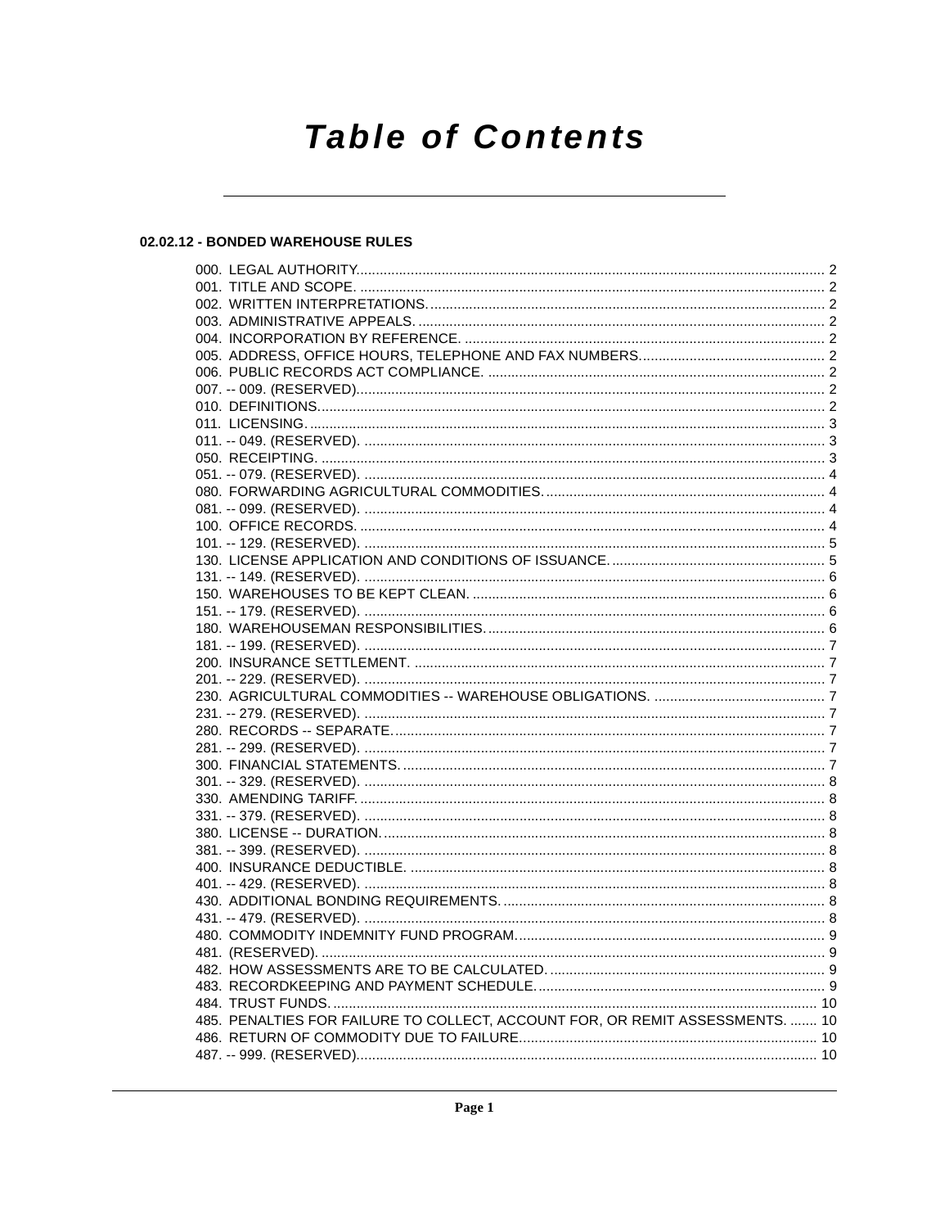# **Table of Contents**

# 02.02.12 - BONDED WAREHOUSE RULES

| 485. PENALTIES FOR FAILURE TO COLLECT, ACCOUNT FOR, OR REMIT ASSESSMENTS.  10 |  |
|-------------------------------------------------------------------------------|--|
|                                                                               |  |
|                                                                               |  |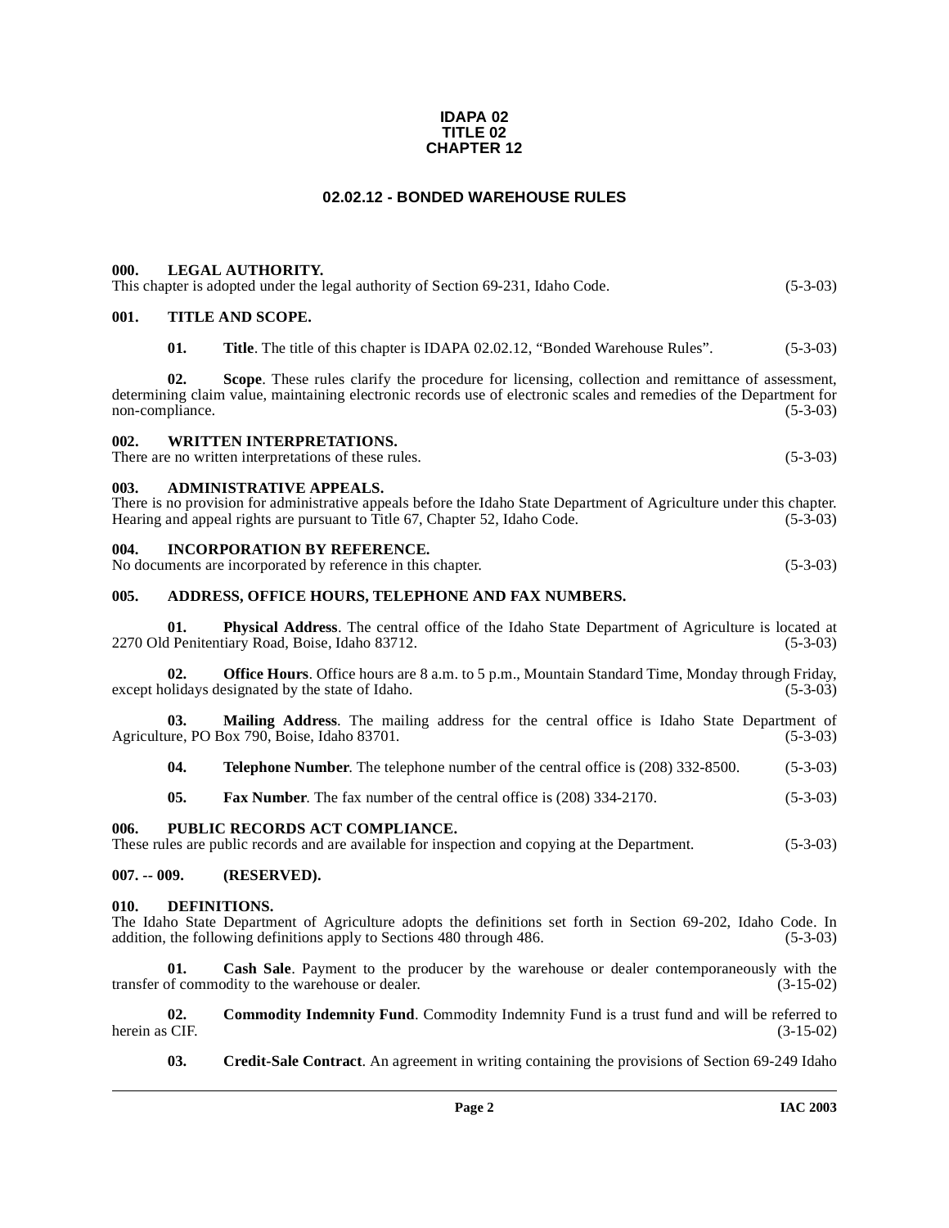#### **IDAPA 02 TITLE 02 CHAPTER 12**

# **02.02.12 - BONDED WAREHOUSE RULES**

<span id="page-1-6"></span><span id="page-1-5"></span><span id="page-1-4"></span><span id="page-1-3"></span><span id="page-1-2"></span><span id="page-1-1"></span><span id="page-1-0"></span>

| 000.                                                                                                                                                                                                                                                            |                  | <b>LEGAL AUTHORITY.</b><br>This chapter is adopted under the legal authority of Section 69-231, Idaho Code.                                                                                                                            | $(5-3-03)$  |  |
|-----------------------------------------------------------------------------------------------------------------------------------------------------------------------------------------------------------------------------------------------------------------|------------------|----------------------------------------------------------------------------------------------------------------------------------------------------------------------------------------------------------------------------------------|-------------|--|
| 001.                                                                                                                                                                                                                                                            | TITLE AND SCOPE. |                                                                                                                                                                                                                                        |             |  |
|                                                                                                                                                                                                                                                                 | 01.              | Title. The title of this chapter is IDAPA 02.02.12, "Bonded Warehouse Rules".                                                                                                                                                          | $(5-3-03)$  |  |
| 02.<br>Scope. These rules clarify the procedure for licensing, collection and remittance of assessment,<br>determining claim value, maintaining electronic records use of electronic scales and remedies of the Department for<br>non-compliance.<br>$(5-3-03)$ |                  |                                                                                                                                                                                                                                        |             |  |
| 002.                                                                                                                                                                                                                                                            |                  | <b>WRITTEN INTERPRETATIONS.</b><br>There are no written interpretations of these rules.                                                                                                                                                | $(5-3-03)$  |  |
| 003.                                                                                                                                                                                                                                                            |                  | <b>ADMINISTRATIVE APPEALS.</b><br>There is no provision for administrative appeals before the Idaho State Department of Agriculture under this chapter.<br>Hearing and appeal rights are pursuant to Title 67, Chapter 52, Idaho Code. | $(5-3-03)$  |  |
| 004.                                                                                                                                                                                                                                                            |                  | <b>INCORPORATION BY REFERENCE.</b><br>No documents are incorporated by reference in this chapter.                                                                                                                                      | $(5-3-03)$  |  |
| 005.                                                                                                                                                                                                                                                            |                  | ADDRESS, OFFICE HOURS, TELEPHONE AND FAX NUMBERS.                                                                                                                                                                                      |             |  |
|                                                                                                                                                                                                                                                                 | 01.              | Physical Address. The central office of the Idaho State Department of Agriculture is located at<br>2270 Old Penitentiary Road, Boise, Idaho 83712.                                                                                     | $(5-3-03)$  |  |
| Office Hours. Office hours are 8 a.m. to 5 p.m., Mountain Standard Time, Monday through Friday,<br>02.<br>except holidays designated by the state of Idaho.<br>$(5-3-03)$                                                                                       |                  |                                                                                                                                                                                                                                        |             |  |
| 03.<br>Mailing Address. The mailing address for the central office is Idaho State Department of<br>Agriculture, PO Box 790, Boise, Idaho 83701.<br>$(5-3-03)$                                                                                                   |                  |                                                                                                                                                                                                                                        |             |  |
|                                                                                                                                                                                                                                                                 | 04.              | Telephone Number. The telephone number of the central office is (208) 332-8500.                                                                                                                                                        | $(5-3-03)$  |  |
|                                                                                                                                                                                                                                                                 | 05.              | Fax Number. The fax number of the central office is (208) 334-2170.                                                                                                                                                                    | $(5-3-03)$  |  |
| PUBLIC RECORDS ACT COMPLIANCE.<br>006.<br>These rules are public records and are available for inspection and copying at the Department.<br>$(5-3-03)$                                                                                                          |                  |                                                                                                                                                                                                                                        |             |  |
| $007. - 009.$                                                                                                                                                                                                                                                   |                  | (RESERVED).                                                                                                                                                                                                                            |             |  |
| 010.<br><b>DEFINITIONS.</b><br>The Idaho State Department of Agriculture adopts the definitions set forth in Section 69-202, Idaho Code. In<br>addition, the following definitions apply to Sections 480 through 486.<br>$(5-3-03)$                             |                  |                                                                                                                                                                                                                                        |             |  |
|                                                                                                                                                                                                                                                                 | 01.              | Cash Sale. Payment to the producer by the warehouse or dealer contemporaneously with the<br>transfer of commodity to the warehouse or dealer.                                                                                          | $(3-15-02)$ |  |

<span id="page-1-12"></span><span id="page-1-9"></span><span id="page-1-8"></span><span id="page-1-7"></span>**02. Commodity Indemnity Fund**. Commodity Indemnity Fund is a trust fund and will be referred to (3-15-02) (3-15-02) herein as CIF.

<span id="page-1-11"></span><span id="page-1-10"></span>**03. Credit-Sale Contract**. An agreement in writing containing the provisions of Section 69-249 Idaho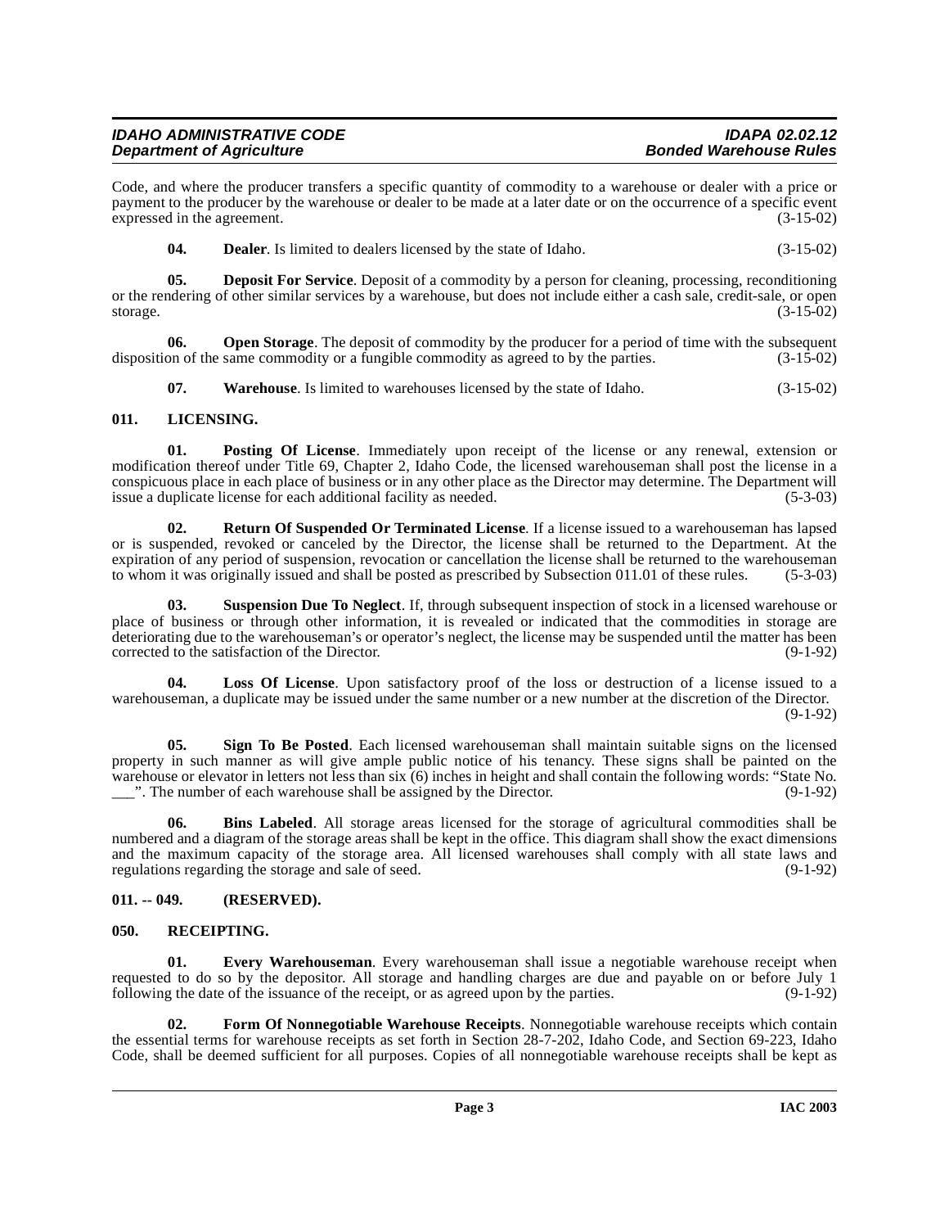# **IDAHO ADMINISTRATIVE CODE IDAPA 02.02.12 Department of Agriculture**

Code, and where the producer transfers a specific quantity of commodity to a warehouse or dealer with a price or payment to the producer by the warehouse or dealer to be made at a later date or on the occurrence of a specific event expressed in the agreement. (3-15-02)

<span id="page-2-4"></span>**04. Dealer**. Is limited to dealers licensed by the state of Idaho. (3-15-02)

**05. Deposit For Service**. Deposit of a commodity by a person for cleaning, processing, reconditioning or the rendering of other similar services by a warehouse, but does not include either a cash sale, credit-sale, or open storage. (3-15-02)

**06.** Open Storage. The deposit of commodity by the producer for a period of time with the subsequent on of the same commodity or a fungible commodity as agreed to by the parties.  $(3-15-02)$ disposition of the same commodity or a fungible commodity as agreed to by the parties.

<span id="page-2-9"></span><span id="page-2-7"></span>**07. Warehouse**. Is limited to warehouses licensed by the state of Idaho. (3-15-02)

# <span id="page-2-0"></span>**011. LICENSING.**

**01. Posting Of License**. Immediately upon receipt of the license or any renewal, extension or modification thereof under Title 69, Chapter 2, Idaho Code, the licensed warehouseman shall post the license in a conspicuous place in each place of business or in any other place as the Director may determine. The Department will issue a duplicate license for each additional facility as needed. (5-3-03)

<span id="page-2-11"></span>**02. Return Of Suspended Or Terminated License**. If a license issued to a warehouseman has lapsed or is suspended, revoked or canceled by the Director, the license shall be returned to the Department. At the expiration of any period of suspension, revocation or cancellation the license shall be returned to the warehouseman to whom it was originally issued and shall be posted as prescribed by Subsection 011.01 of these rules. (5-3-03)

<span id="page-2-12"></span>**03. Suspension Due To Neglect**. If, through subsequent inspection of stock in a licensed warehouse or place of business or through other information, it is revealed or indicated that the commodities in storage are deteriorating due to the warehouseman's or operator's neglect, the license may be suspended until the matter has been<br>corrected to the satisfaction of the Director. corrected to the satisfaction of the Director.

<span id="page-2-8"></span>**Loss Of License**. Upon satisfactory proof of the loss or destruction of a license issued to a warehouseman, a duplicate may be issued under the same number or a new number at the discretion of the Director.

(9-1-92)

**05. Sign To Be Posted**. Each licensed warehouseman shall maintain suitable signs on the licensed property in such manner as will give ample public notice of his tenancy. These signs shall be painted on the warehouse or elevator in letters not less than six (6) inches in height and shall contain the following words: "State No.<br>The number of each warehouse shall be assigned by the Director. (9-1-92)  $\frac{1}{2}$ . The number of each warehouse shall be assigned by the Director.

<span id="page-2-3"></span>**06. Bins Labeled**. All storage areas licensed for the storage of agricultural commodities shall be numbered and a diagram of the storage areas shall be kept in the office. This diagram shall show the exact dimensions and the maximum capacity of the storage area. All licensed warehouses shall comply with all state laws and regulations regarding the storage and sale of seed. (9-1-92)

# <span id="page-2-1"></span>**011. -- 049. (RESERVED).**

# <span id="page-2-10"></span><span id="page-2-2"></span>**050. RECEIPTING.**

<span id="page-2-5"></span>**01. Every Warehouseman**. Every warehouseman shall issue a negotiable warehouse receipt when requested to do so by the depositor. All storage and handling charges are due and payable on or before July 1 following the date of the issuance of the receipt, or as agreed upon by the parties. (9-1-92)

<span id="page-2-6"></span>**02. Form Of Nonnegotiable Warehouse Receipts**. Nonnegotiable warehouse receipts which contain the essential terms for warehouse receipts as set forth in Section 28-7-202, Idaho Code, and Section 69-223, Idaho Code, shall be deemed sufficient for all purposes. Copies of all nonnegotiable warehouse receipts shall be kept as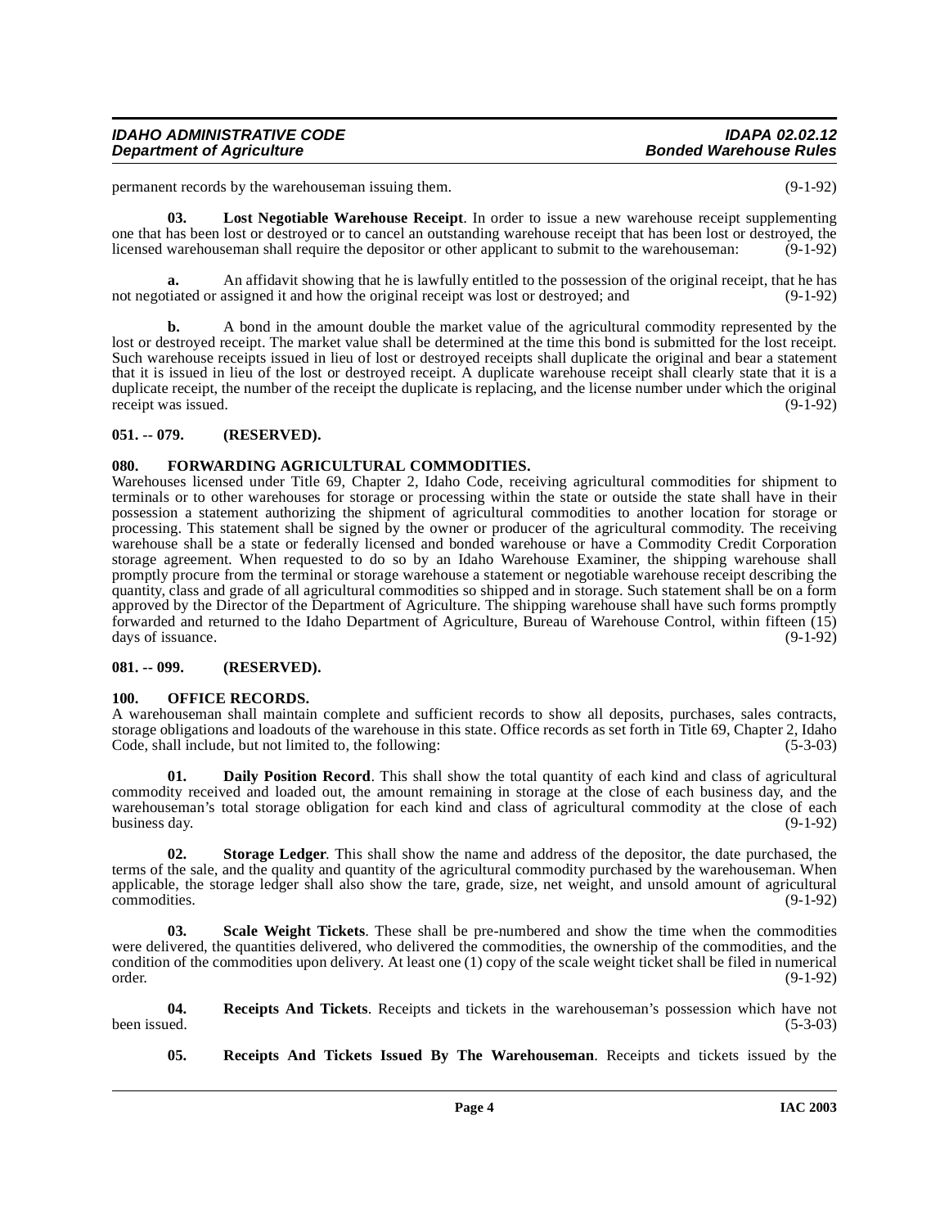| <b>IDAHO ADMINISTRATIVE CODE</b> | <b>IDAPA 02.02.12</b>         |
|----------------------------------|-------------------------------|
| <b>Department of Agriculture</b> | <b>Bonded Warehouse Rules</b> |

permanent records by the warehouseman issuing them. (9-1-92)

<span id="page-3-6"></span>**03. Lost Negotiable Warehouse Receipt**. In order to issue a new warehouse receipt supplementing one that has been lost or destroyed or to cancel an outstanding warehouse receipt that has been lost or destroyed, the licensed warehouseman shall require the depositor or other applicant to submit to the warehouseman: (9-1-92)

**a.** An affidavit showing that he is lawfully entitled to the possession of the original receipt, that he has tiated or assigned it and how the original receipt was lost or destroyed; and (9-1-92) not negotiated or assigned it and how the original receipt was lost or destroyed; and

**b.** A bond in the amount double the market value of the agricultural commodity represented by the lost or destroyed receipt. The market value shall be determined at the time this bond is submitted for the lost receipt. Such warehouse receipts issued in lieu of lost or destroyed receipts shall duplicate the original and bear a statement that it is issued in lieu of the lost or destroyed receipt. A duplicate warehouse receipt shall clearly state that it is a duplicate receipt, the number of the receipt the duplicate is replacing, and the license number under which the original receipt was issued. (9-1-92)

# <span id="page-3-0"></span>**051. -- 079. (RESERVED).**

#### <span id="page-3-5"></span><span id="page-3-1"></span>**080. FORWARDING AGRICULTURAL COMMODITIES.**

Warehouses licensed under Title 69, Chapter 2, Idaho Code, receiving agricultural commodities for shipment to terminals or to other warehouses for storage or processing within the state or outside the state shall have in their possession a statement authorizing the shipment of agricultural commodities to another location for storage or processing. This statement shall be signed by the owner or producer of the agricultural commodity. The receiving warehouse shall be a state or federally licensed and bonded warehouse or have a Commodity Credit Corporation storage agreement. When requested to do so by an Idaho Warehouse Examiner, the shipping warehouse shall promptly procure from the terminal or storage warehouse a statement or negotiable warehouse receipt describing the quantity, class and grade of all agricultural commodities so shipped and in storage. Such statement shall be on a form approved by the Director of the Department of Agriculture. The shipping warehouse shall have such forms promptly forwarded and returned to the Idaho Department of Agriculture, Bureau of Warehouse Control, within fifteen (15) days of issuance. (9-1-92)

#### <span id="page-3-2"></span>**081. -- 099. (RESERVED).**

#### <span id="page-3-7"></span><span id="page-3-3"></span>**100. OFFICE RECORDS.**

A warehouseman shall maintain complete and sufficient records to show all deposits, purchases, sales contracts, storage obligations and loadouts of the warehouse in this state. Office records as set forth in Title 69, Chapter 2, Idaho Code, shall include, but not limited to, the following: (5-3-03) (5-3-03)

<span id="page-3-4"></span>**01. Daily Position Record**. This shall show the total quantity of each kind and class of agricultural commodity received and loaded out, the amount remaining in storage at the close of each business day, and the warehouseman's total storage obligation for each kind and class of agricultural commodity at the close of each<br>business day. (9-1-92) business day. (9-1-92)

<span id="page-3-10"></span>**02. Storage Ledger**. This shall show the name and address of the depositor, the date purchased, the terms of the sale, and the quality and quantity of the agricultural commodity purchased by the warehouseman. When applicable, the storage ledger shall also show the tare, grade, size, net weight, and unsold amount of agricultural commodities. (9-1-92)

<span id="page-3-9"></span>**03. Scale Weight Tickets**. These shall be pre-numbered and show the time when the commodities were delivered, the quantities delivered, who delivered the commodities, the ownership of the commodities, and the condition of the commodities upon delivery. At least one (1) copy of the scale weight ticket shall be filed in numerical order. (9-1-92)

**04.** Receipts And Tickets. Receipts and tickets in the warehouseman's possession which have not been issued. (5-3-03) been issued. (5-3-03)

<span id="page-3-8"></span>**05. Receipts And Tickets Issued By The Warehouseman**. Receipts and tickets issued by the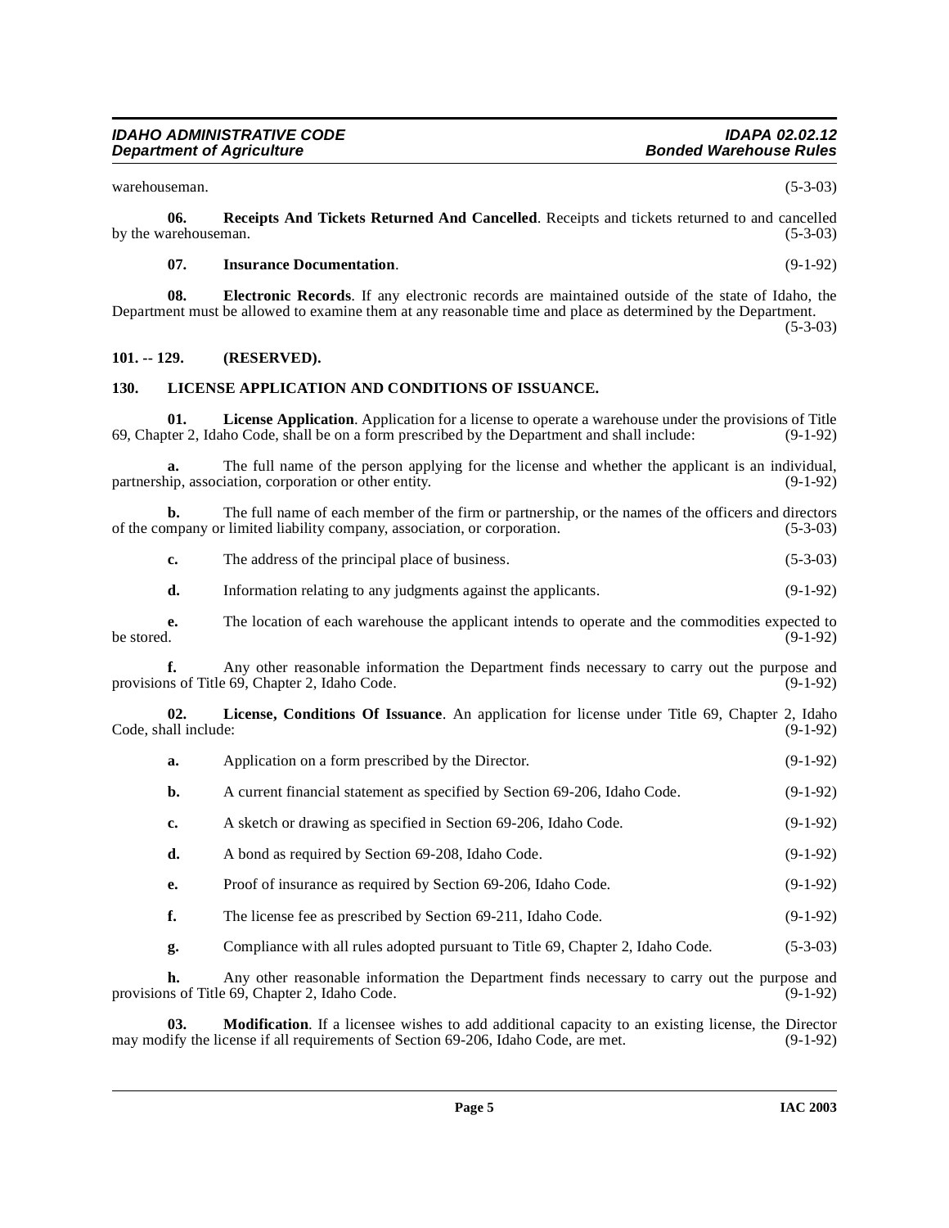#### **IDAHO ADMINISTRATIVE CODE IDAPA 02.02.12 Department of Agriculture**

warehouseman. (5-3-03)

**06.** Receipts And Tickets Returned And Cancelled. Receipts and tickets returned to and cancelled arehouseman. (5-3-03) by the warehouseman.

#### <span id="page-4-7"></span><span id="page-4-2"></span>**07. Insurance Documentation**. (9-1-92)

**08. Electronic Records**. If any electronic records are maintained outside of the state of Idaho, the Department must be allowed to examine them at any reasonable time and place as determined by the Department. (5-3-03)

# <span id="page-4-0"></span>**101. -- 129. (RESERVED).**

#### <span id="page-4-3"></span><span id="page-4-1"></span>**130. LICENSE APPLICATION AND CONDITIONS OF ISSUANCE.**

<span id="page-4-4"></span>**01.** License Application. Application for a license to operate a warehouse under the provisions of Title ter 2, Idaho Code, shall be on a form prescribed by the Department and shall include: (9-1-92) 69, Chapter 2, Idaho Code, shall be on a form prescribed by the Department and shall include:

**a.** The full name of the person applying for the license and whether the applicant is an individual, partnership, association, corporation or other entity. (9-1-92)

**b.** The full name of each member of the firm or partnership, or the names of the officers and directors mpany or limited liability company, association, or corporation.  $(5-3-03)$ of the company or limited liability company, association, or corporation.

| The address of the principal place of business. | $(5-3-03)$ |
|-------------------------------------------------|------------|
|                                                 |            |

**d.** Information relating to any judgments against the applicants. (9-1-92)

**e.** The location of each warehouse the applicant intends to operate and the commodities expected to be stored. (9-1-92) be stored.  $(9-1-92)$ 

**f.** Any other reasonable information the Department finds necessary to carry out the purpose and as of Title 69, Chapter 2, Idaho Code. (9-1-92) provisions of Title 69, Chapter 2, Idaho Code.

**02. License, Conditions Of Issuance**. An application for license under Title 69, Chapter 2, Idaho Code, shall include:

<span id="page-4-5"></span>

| a. | Application on a form prescribed by the Director.                              | $(9-1-92)$ |
|----|--------------------------------------------------------------------------------|------------|
| b. | A current financial statement as specified by Section 69-206, Idaho Code.      | $(9-1-92)$ |
| c. | A sketch or drawing as specified in Section 69-206, Idaho Code.                | $(9-1-92)$ |
| d. | A bond as required by Section 69-208, Idaho Code.                              | $(9-1-92)$ |
| e. | Proof of insurance as required by Section 69-206, Idaho Code.                  | $(9-1-92)$ |
| f. | The license fee as prescribed by Section 69-211, Idaho Code.                   | $(9-1-92)$ |
| g. | Compliance with all rules adopted pursuant to Title 69, Chapter 2, Idaho Code. | $(5-3-03)$ |
|    |                                                                                |            |

**h.** Any other reasonable information the Department finds necessary to carry out the purpose and provisions of Title 69, Chapter 2, Idaho Code. (9-1-92)

<span id="page-4-6"></span>**03. Modification**. If a licensee wishes to add additional capacity to an existing license, the Director lify the license if all requirements of Section 69-206, Idaho Code, are met. (9-1-92) may modify the license if all requirements of Section 69-206, Idaho Code, are met.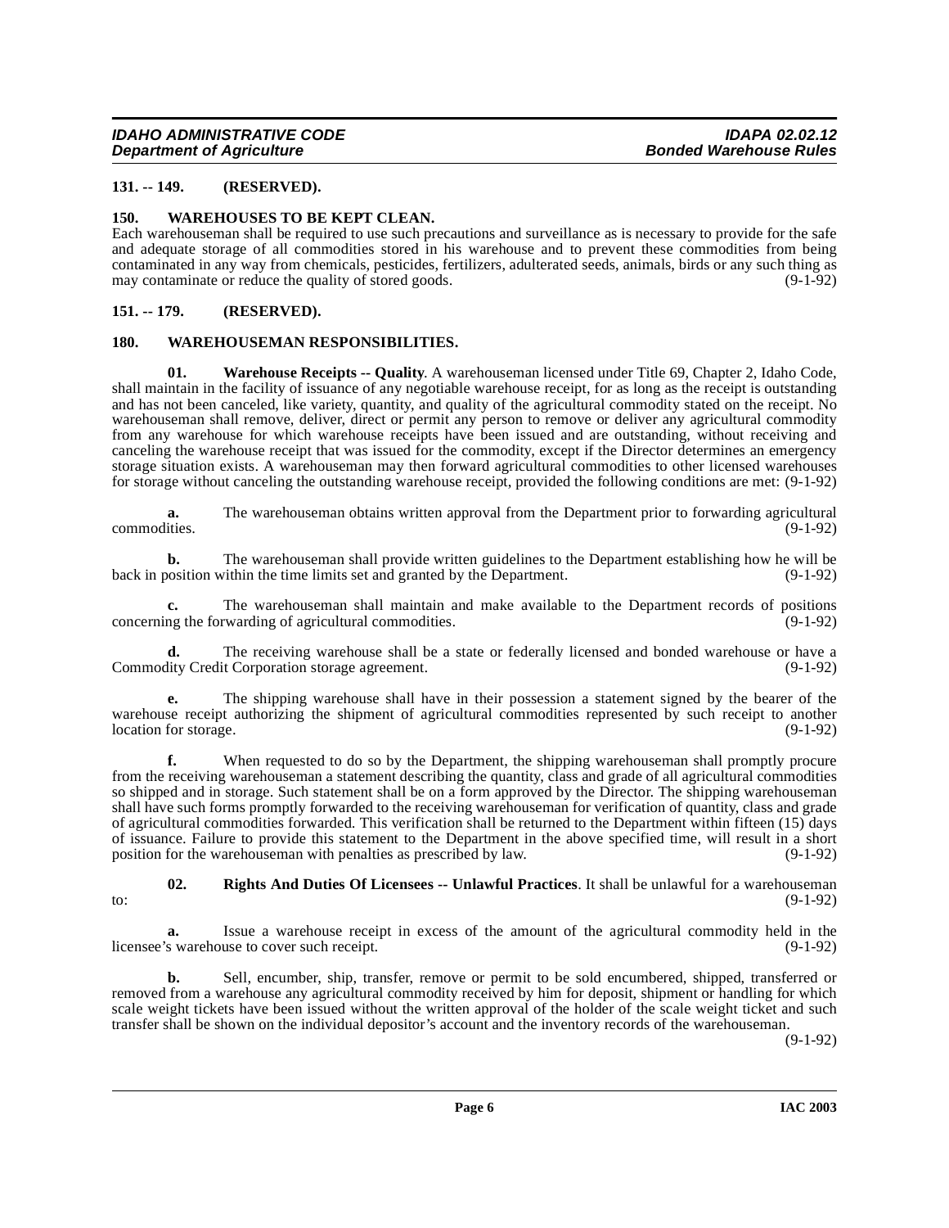# <span id="page-5-0"></span>**131. -- 149. (RESERVED).**

#### <span id="page-5-7"></span><span id="page-5-1"></span>**150. WAREHOUSES TO BE KEPT CLEAN.**

Each warehouseman shall be required to use such precautions and surveillance as is necessary to provide for the safe and adequate storage of all commodities stored in his warehouse and to prevent these commodities from being contaminated in any way from chemicals, pesticides, fertilizers, adulterated seeds, animals, birds or any such thing as may contaminate or reduce the quality of stored goods.

#### <span id="page-5-2"></span>**151. -- 179. (RESERVED).**

#### <span id="page-5-6"></span><span id="page-5-5"></span><span id="page-5-3"></span>**180. WAREHOUSEMAN RESPONSIBILITIES.**

**01. Warehouse Receipts -- Quality**. A warehouseman licensed under Title 69, Chapter 2, Idaho Code, shall maintain in the facility of issuance of any negotiable warehouse receipt, for as long as the receipt is outstanding and has not been canceled, like variety, quantity, and quality of the agricultural commodity stated on the receipt. No warehouseman shall remove, deliver, direct or permit any person to remove or deliver any agricultural commodity from any warehouse for which warehouse receipts have been issued and are outstanding, without receiving and canceling the warehouse receipt that was issued for the commodity, except if the Director determines an emergency storage situation exists. A warehouseman may then forward agricultural commodities to other licensed warehouses for storage without canceling the outstanding warehouse receipt, provided the following conditions are met: (9-1-92)

**a.** The warehouseman obtains written approval from the Department prior to forwarding agricultural commodities. (9-1-92) commodities. (9-1-92)

**b.** The warehouseman shall provide written guidelines to the Department establishing how he will be back in position within the time limits set and granted by the Department. (9-1-92)

**c.** The warehouseman shall maintain and make available to the Department records of positions ng the forwarding of agricultural commodities. (9-1-92) concerning the forwarding of agricultural commodities.

**d.** The receiving warehouse shall be a state or federally licensed and bonded warehouse or have a lity Credit Corporation storage agreement. (9-1-92) Commodity Credit Corporation storage agreement.

**e.** The shipping warehouse shall have in their possession a statement signed by the bearer of the warehouse receipt authorizing the shipment of agricultural commodities represented by such receipt to another location for storage. (9-1-92) location for storage.

**f.** When requested to do so by the Department, the shipping warehouseman shall promptly procure from the receiving warehouseman a statement describing the quantity, class and grade of all agricultural commodities so shipped and in storage. Such statement shall be on a form approved by the Director. The shipping warehouseman shall have such forms promptly forwarded to the receiving warehouseman for verification of quantity, class and grade of agricultural commodities forwarded. This verification shall be returned to the Department within fifteen (15) days of issuance. Failure to provide this statement to the Department in the above specified time, will result in a short position for the warehouseman with penalties as prescribed by law. (9-1-92)

<span id="page-5-4"></span>**02. Rights And Duties Of Licensees -- Unlawful Practices**. It shall be unlawful for a warehouseman to:  $(9-1-92)$ 

**a.** Issue a warehouse receipt in excess of the amount of the agricultural commodity held in the s warehouse to cover such receipt. (9-1-92) licensee's warehouse to cover such receipt.

**b.** Sell, encumber, ship, transfer, remove or permit to be sold encumbered, shipped, transferred or removed from a warehouse any agricultural commodity received by him for deposit, shipment or handling for which scale weight tickets have been issued without the written approval of the holder of the scale weight ticket and such transfer shall be shown on the individual depositor's account and the inventory records of the warehouseman.

(9-1-92)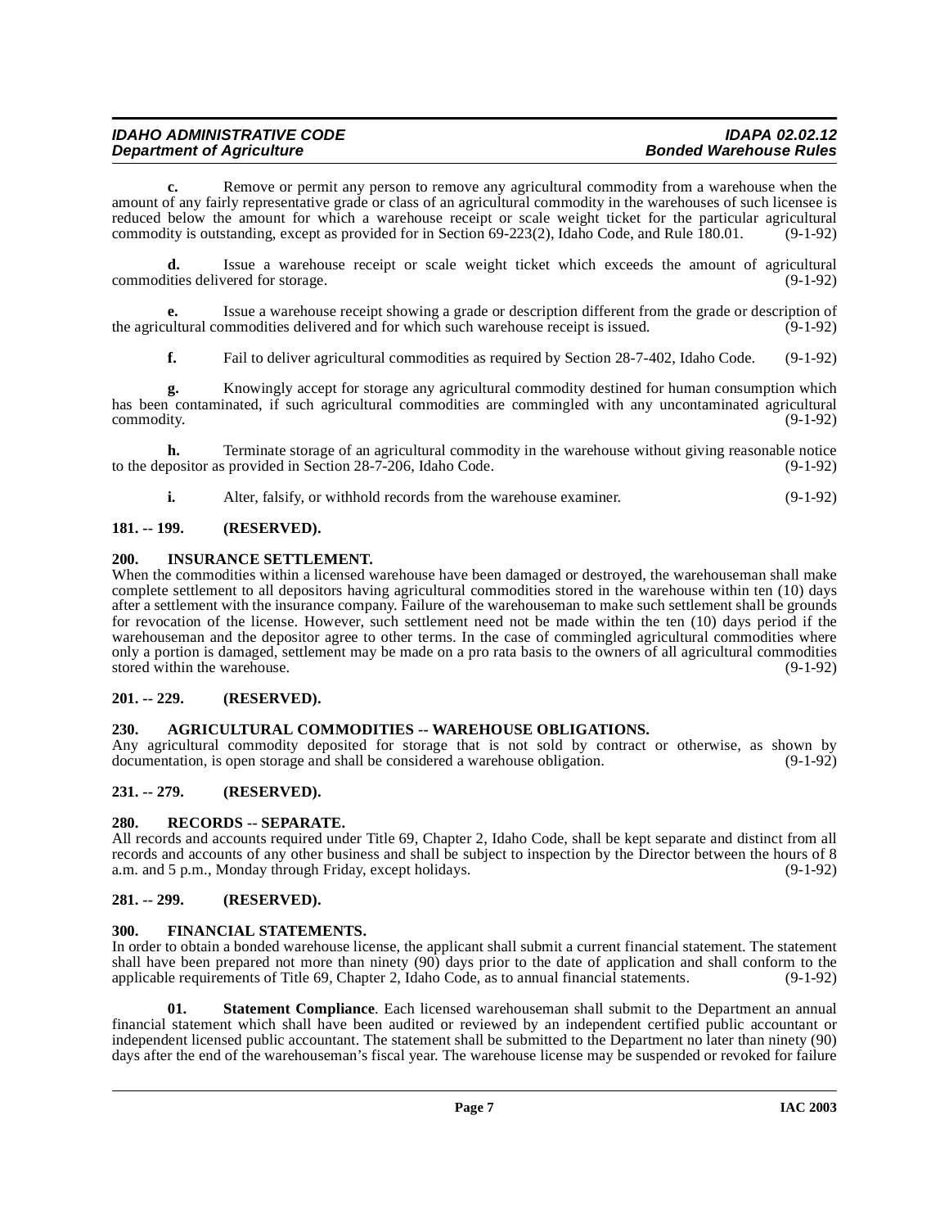| <b>IDAHO ADMINISTRATIVE CODE</b> | <b>IDAPA 02.02.12</b>         |
|----------------------------------|-------------------------------|
| <b>Department of Agriculture</b> | <b>Bonded Warehouse Rules</b> |

**c.** Remove or permit any person to remove any agricultural commodity from a warehouse when the amount of any fairly representative grade or class of an agricultural commodity in the warehouses of such licensee is reduced below the amount for which a warehouse receipt or scale weight ticket for the particular agricultural commodity is outstanding, except as provided for in Section 69-223(2), Idaho Code, and Rule  $\overline{180.01}$ . (9-1-92)

**d.** Issue a warehouse receipt or scale weight ticket which exceeds the amount of agricultural ities delivered for storage. (9-1-92) commodities delivered for storage.

**e.** Issue a warehouse receipt showing a grade or description different from the grade or description of the agricultural commodities delivered and for which such warehouse receipt is issued. (9-1-92)

**f.** Fail to deliver agricultural commodities as required by Section 28-7-402, Idaho Code. (9-1-92)

**g.** Knowingly accept for storage any agricultural commodity destined for human consumption which has been contaminated, if such agricultural commodities are commingled with any uncontaminated agricultural commodity. (9-1-92)

**h.** Terminate storage of an agricultural commodity in the warehouse without giving reasonable notice to the depositor as provided in Section 28-7-206, Idaho Code. (9-1-92)

<span id="page-6-10"></span>**i.** Alter, falsify, or withhold records from the warehouse examiner. (9-1-92)

# <span id="page-6-0"></span>**181. -- 199. (RESERVED).**

#### <span id="page-6-1"></span>**200. INSURANCE SETTLEMENT.**

When the commodities within a licensed warehouse have been damaged or destroyed, the warehouseman shall make complete settlement to all depositors having agricultural commodities stored in the warehouse within ten (10) days after a settlement with the insurance company. Failure of the warehouseman to make such settlement shall be grounds for revocation of the license. However, such settlement need not be made within the ten (10) days period if the warehouseman and the depositor agree to other terms. In the case of commingled agricultural commodities where only a portion is damaged, settlement may be made on a pro rata basis to the owners of all agricultural commodities stored within the warehouse. (9-1-92) stored within the warehouse.

#### <span id="page-6-2"></span>**201. -- 229. (RESERVED).**

#### <span id="page-6-8"></span><span id="page-6-3"></span>**230. AGRICULTURAL COMMODITIES -- WAREHOUSE OBLIGATIONS.**

Any agricultural commodity deposited for storage that is not sold by contract or otherwise, as shown by documentation, is open storage and shall be considered a warehouse obligation. (9-1-92) documentation, is open storage and shall be considered a warehouse obligation.

# <span id="page-6-4"></span>**231. -- 279. (RESERVED).**

#### <span id="page-6-11"></span><span id="page-6-5"></span>**280. RECORDS -- SEPARATE.**

All records and accounts required under Title 69, Chapter 2, Idaho Code, shall be kept separate and distinct from all records and accounts of any other business and shall be subject to inspection by the Director between the hours of 8 a.m. and 5 p.m., Monday through Friday, except holidays. (9-1-92) a.m. and 5 p.m., Monday through Friday, except holidays.

#### <span id="page-6-6"></span>**281. -- 299. (RESERVED).**

#### <span id="page-6-9"></span><span id="page-6-7"></span>**300. FINANCIAL STATEMENTS.**

In order to obtain a bonded warehouse license, the applicant shall submit a current financial statement. The statement shall have been prepared not more than ninety (90) days prior to the date of application and shall conform to the applicable requirements of Title 69, Chapter 2, Idaho Code, as to annual financial statements. (9-1-92)

<span id="page-6-12"></span>**01. Statement Compliance**. Each licensed warehouseman shall submit to the Department an annual financial statement which shall have been audited or reviewed by an independent certified public accountant or independent licensed public accountant. The statement shall be submitted to the Department no later than ninety (90) days after the end of the warehouseman's fiscal year. The warehouse license may be suspended or revoked for failure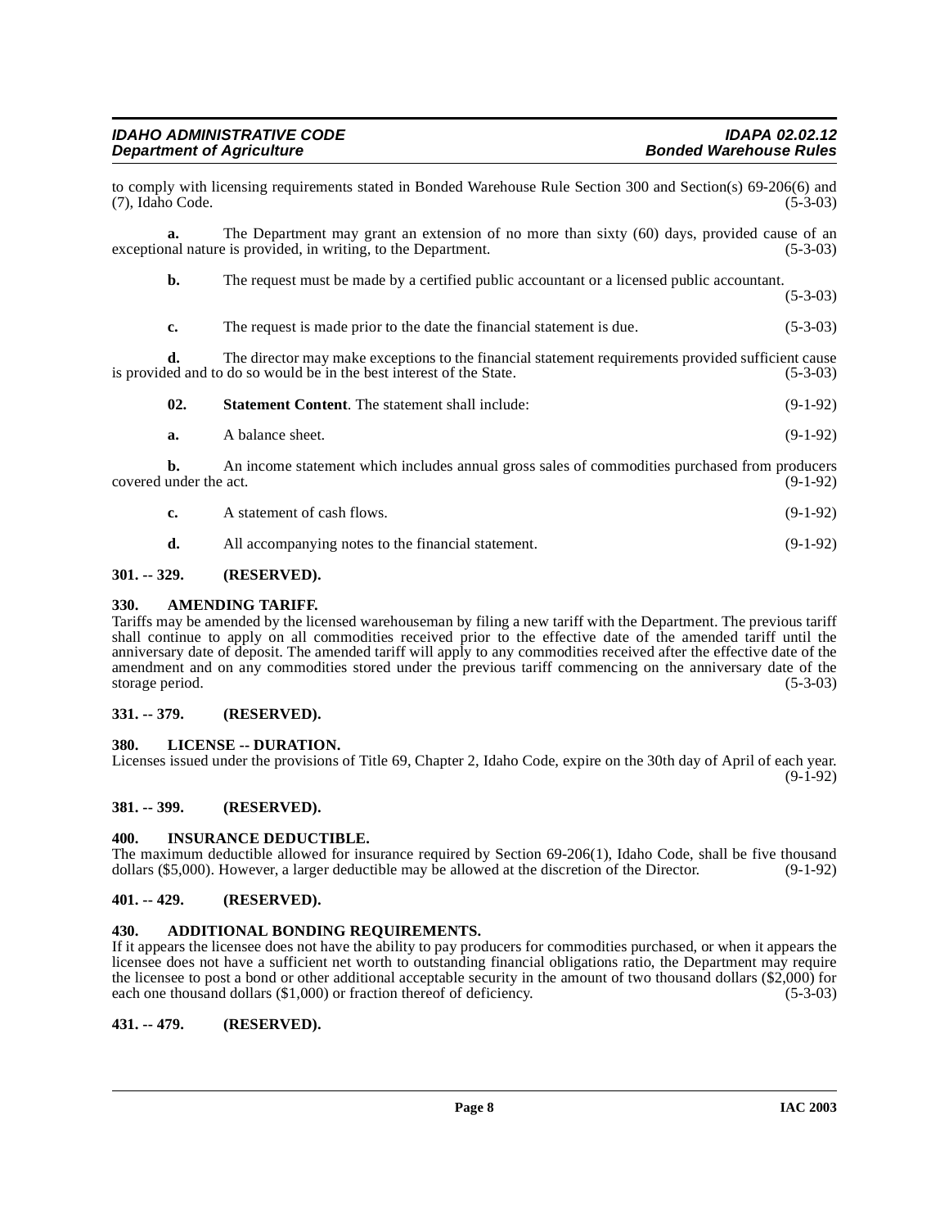| <b>IDAHO ADMINISTRATIVE CODE</b> |  |
|----------------------------------|--|
| <b>Department of Agriculture</b> |  |

to comply with licensing requirements stated in Bonded Warehouse Rule Section 300 and Section(s) 69-206(6) and (7), Idaho Code. (5-3-03)

**a.** The Department may grant an extension of no more than sixty (60) days, provided cause of an exceptional nature is provided, in writing, to the Department. (5-3-03)

**b.** The request must be made by a certified public accountant or a licensed public accountant. (5-3-03)

**c.** The request is made prior to the date the financial statement is due. (5-3-03)

**d.** The director may make exceptions to the financial statement requirements provided sufficient cause led and to do so would be in the best interest of the State. (5-3-03) is provided and to do so would be in the best interest of the State.

| 02. | <b>Statement Content.</b> The statement shall include: | $(9-1-92)$ |
|-----|--------------------------------------------------------|------------|
|     |                                                        |            |

**a.** A balance sheet. (9-1-92)

**b.** An income statement which includes annual gross sales of commodities purchased from producers covered under the act. (9-1-92)

- **c.** A statement of cash flows. (9-1-92)
- <span id="page-7-9"></span>**d.** All accompanying notes to the financial statement. (9-1-92)

# <span id="page-7-0"></span>**301. -- 329. (RESERVED).**

# <span id="page-7-1"></span>**330. AMENDING TARIFF.**

Tariffs may be amended by the licensed warehouseman by filing a new tariff with the Department. The previous tariff shall continue to apply on all commodities received prior to the effective date of the amended tariff until the anniversary date of deposit. The amended tariff will apply to any commodities received after the effective date of the amendment and on any commodities stored under the previous tariff commencing on the anniversary date of the storage period. (5-3-03)

# <span id="page-7-2"></span>**331. -- 379. (RESERVED).**

# <span id="page-7-11"></span><span id="page-7-3"></span>**380. LICENSE -- DURATION.**

Licenses issued under the provisions of Title 69, Chapter 2, Idaho Code, expire on the 30th day of April of each year. (9-1-92)

# <span id="page-7-4"></span>**381. -- 399. (RESERVED).**

# <span id="page-7-10"></span><span id="page-7-5"></span>**400. INSURANCE DEDUCTIBLE.**

The maximum deductible allowed for insurance required by Section 69-206(1), Idaho Code, shall be five thousand dollars (\$5,000). However, a larger deductible may be allowed at the discretion of the Director. (9-1-92)

# <span id="page-7-6"></span>**401. -- 429. (RESERVED).**

# <span id="page-7-7"></span>**430. ADDITIONAL BONDING REQUIREMENTS.**

If it appears the licensee does not have the ability to pay producers for commodities purchased, or when it appears the licensee does not have a sufficient net worth to outstanding financial obligations ratio, the Department may require the licensee to post a bond or other additional acceptable security in the amount of two thousand dollars (\$2,000) for each one thousand dollars  $(\$1,000)$  or fraction thereof of deficiency. (5-3-03)

# <span id="page-7-8"></span>**431. -- 479. (RESERVED).**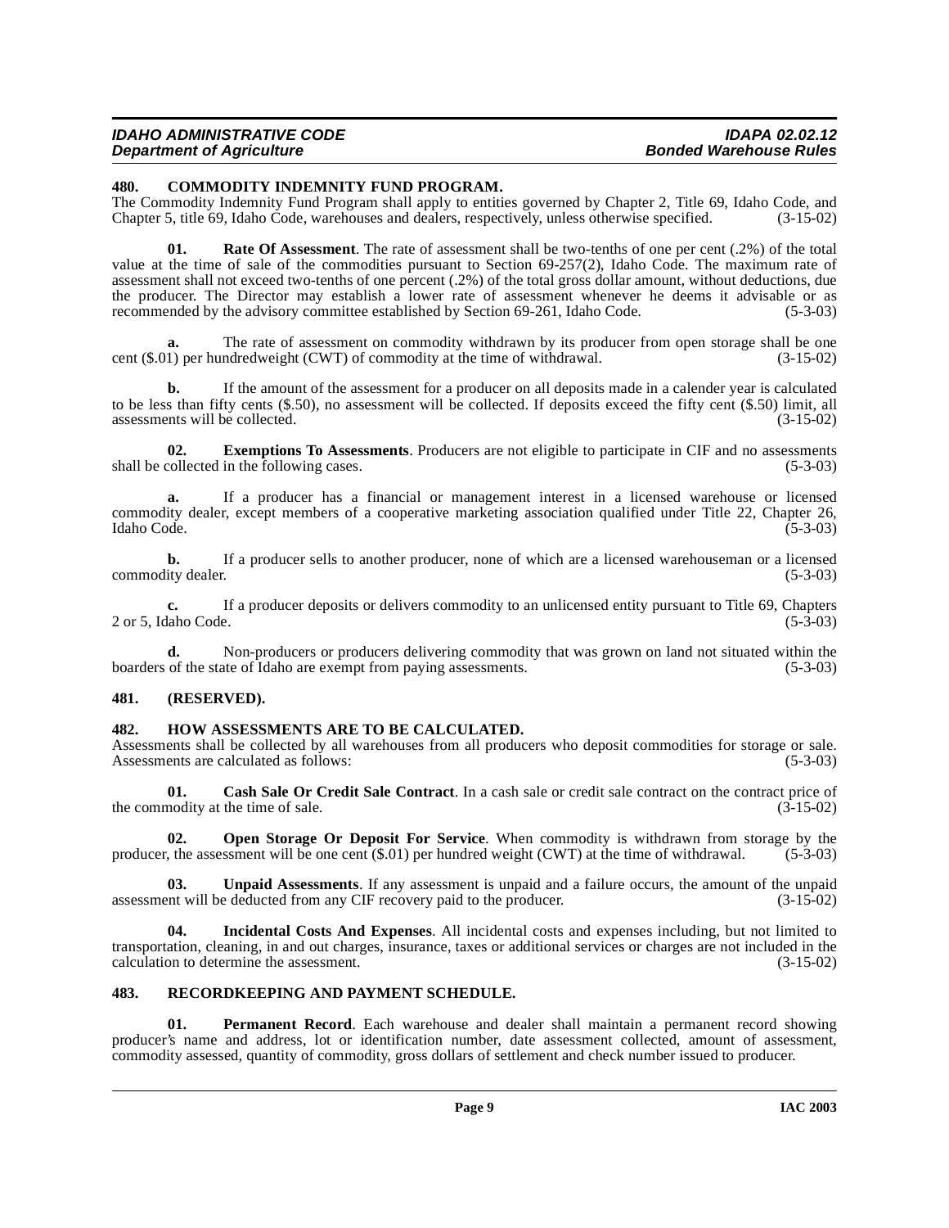#### **IDAHO ADMINISTRATIVE CODE IDAPA 02.02.12 Department of Agriculture**

# <span id="page-8-5"></span><span id="page-8-0"></span>**480. COMMODITY INDEMNITY FUND PROGRAM.**

The Commodity Indemnity Fund Program shall apply to entities governed by Chapter 2, Title 69, Idaho Code, and Chapter 5, title 69, Idaho Code, warehouses and dealers, respectively, unless otherwise specified. (3-15-02) Chapter 5, title 69, Idaho Code, warehouses and dealers, respectively, unless otherwise specified.

<span id="page-8-10"></span>**01.** Rate Of Assessment. The rate of assessment shall be two-tenths of one per cent (.2%) of the total value at the time of sale of the commodities pursuant to Section 69-257(2), Idaho Code. The maximum rate of assessment shall not exceed two-tenths of one percent (.2%) of the total gross dollar amount, without deductions, due the producer. The Director may establish a lower rate of assessment whenever he deems it advisable or as recommended by the advisory committee established by Section 69-261. Idaho Code. (5-3-03) recommended by the advisory committee established by Section 69-261, Idaho Code.

**a.** The rate of assessment on commodity withdrawn by its producer from open storage shall be one 1) per hundredweight (CWT) of commodity at the time of withdrawal.  $(3-15-02)$ cent  $(\$.01)$  per hundredweight (CWT) of commodity at the time of withdrawal.

**b.** If the amount of the assessment for a producer on all deposits made in a calender year is calculated to be less than fifty cents (\$.50), no assessment will be collected. If deposits exceed the fifty cent (\$.50) limit, all assessments will be collected. (3-15-02)

**02. Exemptions To Assessments**. Producers are not eligible to participate in CIF and no assessments shall be collected in the following cases. (5-3-03)

**a.** If a producer has a financial or management interest in a licensed warehouse or licensed commodity dealer, except members of a cooperative marketing association qualified under Title 22, Chapter 26,<br>Idaho Code. (5-3-03) Idaho Code. (5-3-03)

**b.** If a producer sells to another producer, none of which are a licensed warehouseman or a licensed ity dealer. (5-3-03) commodity dealer.

**c.** If a producer deposits or delivers commodity to an unlicensed entity pursuant to Title 69, Chapters laho Code. (5-3-03) 2 or 5, Idaho Code.

**d.** Non-producers or producers delivering commodity that was grown on land not situated within the of the state of Idaho are exempt from paying assessments. (5-3-03) boarders of the state of Idaho are exempt from paying assessments.

# <span id="page-8-1"></span>**481. (RESERVED).**

# <span id="page-8-6"></span><span id="page-8-2"></span>**482. HOW ASSESSMENTS ARE TO BE CALCULATED.**

Assessments shall be collected by all warehouses from all producers who deposit commodities for storage or sale.<br>Assessments are calculated as follows: (5-3-03) Assessments are calculated as follows:

<span id="page-8-4"></span>**01. Cash Sale Or Credit Sale Contract**. In a cash sale or credit sale contract on the contract price of nodity at the time of sale. (3-15-02) the commodity at the time of sale.

<span id="page-8-8"></span>**02. Open Storage Or Deposit For Service**. When commodity is withdrawn from storage by the producer, the assessment will be one cent (\$.01) per hundred weight (CWT) at the time of withdrawal. (5-3-03)

<span id="page-8-12"></span>**03. Unpaid Assessments**. If any assessment is unpaid and a failure occurs, the amount of the unpaid assessment will be deducted from any CIF recovery paid to the producer. (3-15-02)

<span id="page-8-7"></span>**04. Incidental Costs And Expenses**. All incidental costs and expenses including, but not limited to transportation, cleaning, in and out charges, insurance, taxes or additional services or charges are not included in the calculation to determine the assessment. (3-15-02) calculation to determine the assessment.

# <span id="page-8-11"></span><span id="page-8-3"></span>**483. RECORDKEEPING AND PAYMENT SCHEDULE.**

<span id="page-8-9"></span>**01. Permanent Record**. Each warehouse and dealer shall maintain a permanent record showing producer's name and address, lot or identification number, date assessment collected, amount of assessment, commodity assessed, quantity of commodity, gross dollars of settlement and check number issued to producer.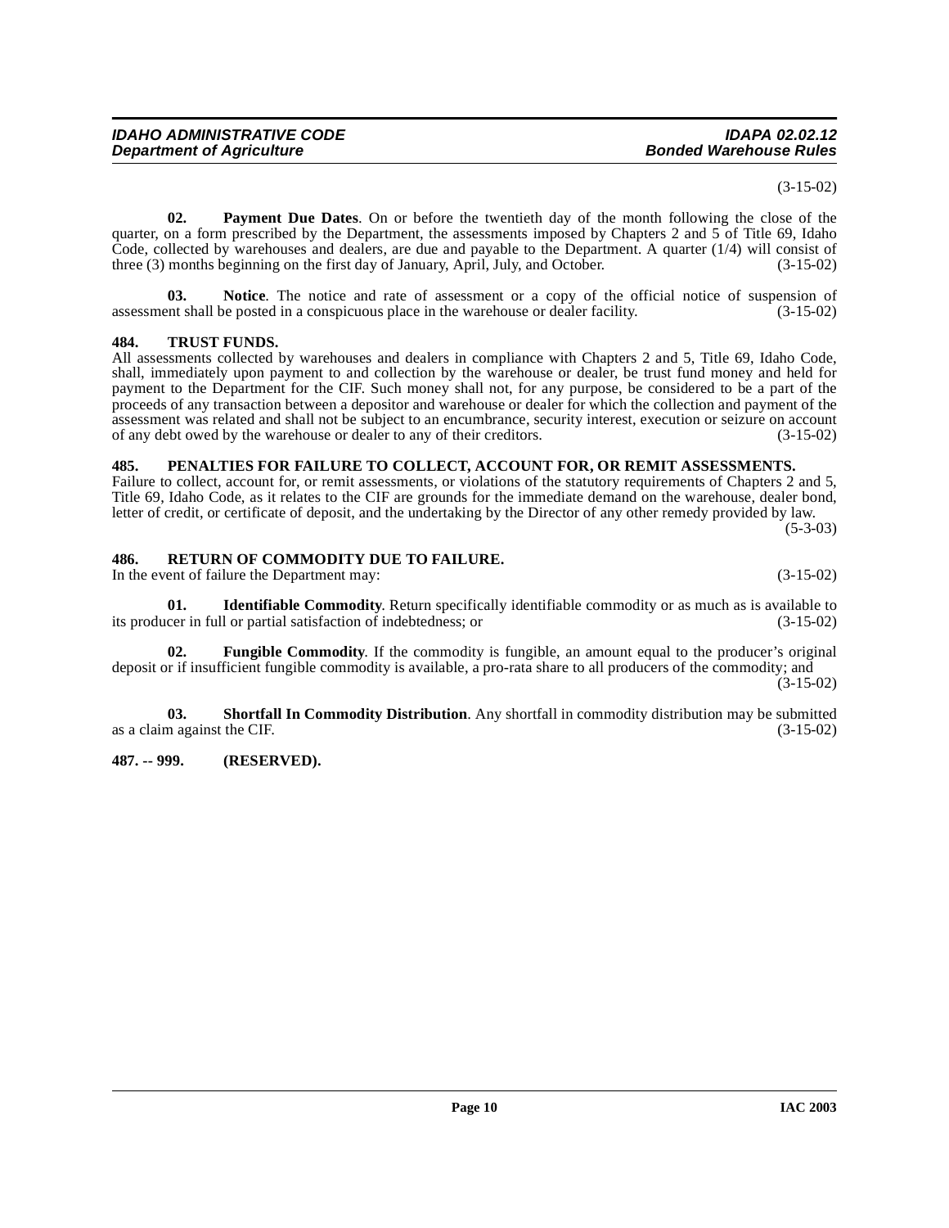#### (3-15-02)

<span id="page-9-6"></span>**02. Payment Due Dates**. On or before the twentieth day of the month following the close of the quarter, on a form prescribed by the Department, the assessments imposed by Chapters 2 and 5 of Title 69, Idaho Code, collected by warehouses and dealers, are due and payable to the Department. A quarter (1/4) will consist of three (3) months beginning on the first day of January, April, July, and October. (3-15-02)

**03. Notice**. The notice and rate of assessment or a copy of the official notice of suspension of assessment shall be posted in a conspicuous place in the warehouse or dealer facility. (3-15-02)

# <span id="page-9-10"></span><span id="page-9-0"></span>**484. TRUST FUNDS.**

All assessments collected by warehouses and dealers in compliance with Chapters 2 and 5, Title 69, Idaho Code, shall, immediately upon payment to and collection by the warehouse or dealer, be trust fund money and held for payment to the Department for the CIF. Such money shall not, for any purpose, be considered to be a part of the proceeds of any transaction between a depositor and warehouse or dealer for which the collection and payment of the assessment was related and shall not be subject to an encumbrance, security interest, execution or seizure on account of any debt owed by the warehouse or dealer to any of their creditors. (3-15-02) of any debt owed by the warehouse or dealer to any of their creditors.

#### <span id="page-9-7"></span><span id="page-9-1"></span>**485. PENALTIES FOR FAILURE TO COLLECT, ACCOUNT FOR, OR REMIT ASSESSMENTS.**

Failure to collect, account for, or remit assessments, or violations of the statutory requirements of Chapters 2 and 5, Title 69, Idaho Code, as it relates to the CIF are grounds for the immediate demand on the warehouse, dealer bond, letter of credit, or certificate of deposit, and the undertaking by the Director of any other remedy provided by law. (5-3-03)

# <span id="page-9-8"></span><span id="page-9-2"></span>**486. RETURN OF COMMODITY DUE TO FAILURE.**

In the event of failure the Department may: (3-15-02)

<span id="page-9-5"></span>**01. Identifiable Commodity**. Return specifically identifiable commodity or as much as is available to cer in full or partial satisfaction of indebtedness; or  $(3-15-02)$ its producer in full or partial satisfaction of indebtedness; or

<span id="page-9-4"></span>**02. Fungible Commodity**. If the commodity is fungible, an amount equal to the producer's original deposit or if insufficient fungible commodity is available, a pro-rata share to all producers of the commodity; and  $(3-15-02)$ 

<span id="page-9-9"></span>**03. Shortfall In Commodity Distribution**. Any shortfall in commodity distribution may be submitted as a claim against the CIF. (3-15-02)

#### <span id="page-9-3"></span>**487. -- 999. (RESERVED).**